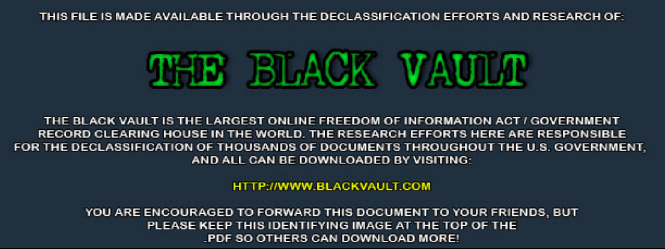THIS FILE IS MADE AVAILABLE THROUGH THE DECLASSIFICATION EFFORTS AND RESEARCH OF:



THE BLACK VAULT IS THE LARGEST ONLINE FREEDOM OF INFORMATION ACT / GOVERNMENT RECORD CLEARING HOUSE IN THE WORLD. THE RESEARCH EFFORTS HERE ARE RESPONSIBLE FOR THE DECLASSIFICATION OF THOUSANDS OF DOCUMENTS THROUGHOUT THE U.S. GOVERNMENT, AND ALL CAN BE DOWNLOADED BY VISITING:

**HTTP://WWW.BLACKVAULT.COM** 

YOU ARE ENCOURAGED TO FORWARD THIS DOCUMENT TO YOUR FRIENDS, BUT PLEASE KEEP THIS IDENTIFYING IMAGE AT THE TOP OF THE PDF SO OTHERS CAN DOWNLOAD MORE!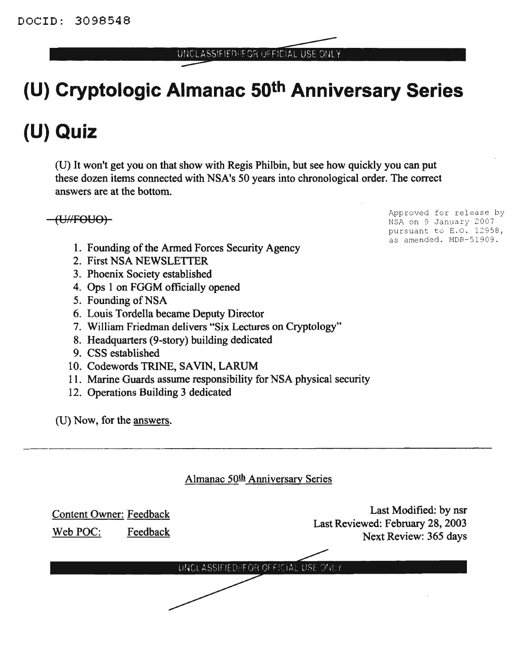UNCLASSIFIED/FOR OFFICIAL USE ONLY

# **(U) Cryptologic Almanac 50th Anniversary Series**

# **(U) Quiz**

(U) It won't get you on that show with Regis Philbin, but see how quickly you can put these dozen items connected with NSA's 50 years into chronological order. The correct answers are at the bottom.

(UHFOUO)

- 1. Founding of the Armed Forces Security Agency
- 2. First NSA NEWSLETTER
- 3. Phoenix Society established
- 4. Ops 1 on FGGM officially opened
- 5. Founding of NSA
- 6. Louis Tordella became Deputy Director
- 7. William Friedman delivers "Six Lectures on Cryptology"
- 8. Headquarters (9-story) building dedicated
- 9. CSS established
- 10. Codewords TRINE, SAVIN, LARUM
- 11. Marine Guards assume responsibility for NSA physical security
- 12. Operations Building 3 dedicated

(D) Now, for the answers.

| Almanac 50th Anniversary Series                        |                                                                                    |
|--------------------------------------------------------|------------------------------------------------------------------------------------|
| <b>Content Owner: Feedback</b><br>Feedback<br>Web POC: | Last Modified: by nsr<br>Last Reviewed: February 28, 2003<br>Next Review: 365 days |
| UNCLASSIFIED/FOR OFFICIAL USE ONLY                     |                                                                                    |
|                                                        |                                                                                    |

Approved for release by NSA on 9 January 2007 pursuant to E.O. 12958, as amended. MDR-51909.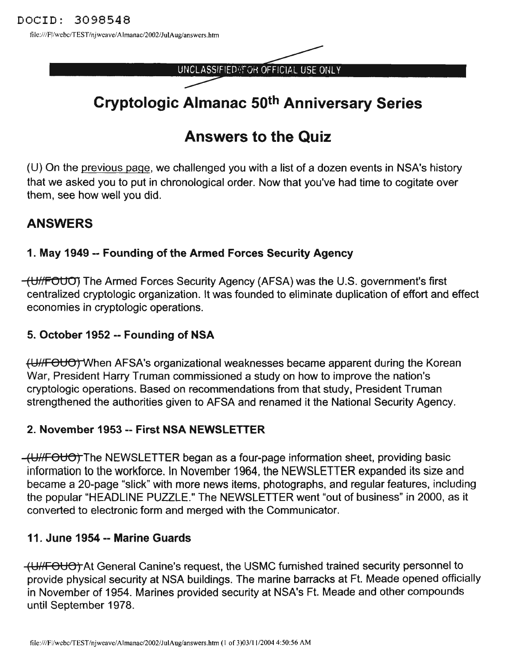file:///F|/webc/TEST/njweave/Almanac/2002/JulAug/answers.htm

UNCLASSIFIED (FOR OFFICIAL USE ONLY

# Cryptologic Almanac 50th Anniversary Series

# Answers to the Quiz

(U) On the previous page, we challenged you with a list of a dozen events in NSA's history that we asked you to put in chronological order. Now that you've had time to cogitate over them, see how well you did.

# ANSWERS

### 1. May 1949 -- Founding of the Armed Forces Security Agency

(UHFOUOJ The Armed Forces Security Agency (AFSA) was the U.S. government's first centralized cryptologic organization. It was founded to eliminate duplication of effort and effect economies in cryptologic operations.

#### 5. October 1952 -- Founding of NSA

fUHFOUO)"When AFSA's organizational weaknesses became apparent during the Korean War, President Harry Truman commissioned a study on how to improve the nation's cryptologic operations. Based on recommendations from that study, President Truman strengthened the authorities given to AFSA and renamed it the National Security Agency.

### 2. November 1953 -- First NSA NEWSLETTER

(UHFOUO) The NEWSLETTER began as a four-page information sheet, providing basic information to the workforce. In November 1964, the NEWSLETTER expanded its size and became a 20-page "slick" with more news items, photographs, and regular features, including the popular "HEADLINE PUZZLE." The NEWSLETTER went "out of business" in 2000, as it converted to electronic form and merged with the Communicator.

### 11. June 1954 -- Marine Guards

(UHFOUO) At General Canine's request, the USMC furnished trained security personnel to provide physical security at NSA buildings. The marine barracks at Ft. Meade opened officially in November of 1954. Marines provided security at NSA's Ft. Meade and other compounds until September 1978.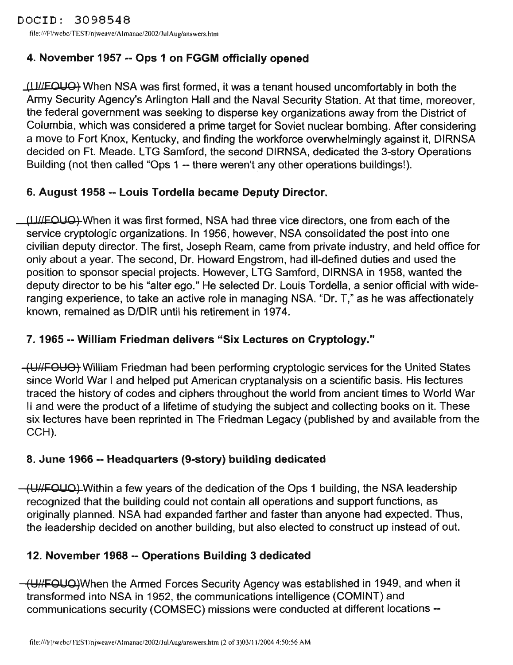file:///F//webc/TEST/njweave/Almanac/2002/JuIAug/answers.htm

# 4. November 1957 -- Ops 1 on FGGM officially opened

 $(11$ /EQUO $)$  When NSA was first formed, it was a tenant housed uncomfortably in both the Army Security Agency's Arlington Hall and the Naval Security Station. At that time, moreover, the federal government was seeking to disperse key organizations away from the District of Columbia, which was considered a prime target for Soviet nuclear bombing. After considering a move to Fort Knox, Kentucky, and finding the workforce overwhelmingly against it, DIRNSA decided on Ft. Meade. LTG Samford, the second DIRNSA, dedicated the 3-story Operations Building (not then called "Ops 1 -- there weren't any other operations buildings!).

# 6. August 1958 \_. Louis Tordella became Deputy Director.

(III/EOUO) When it was first formed, NSA had three vice directors, one from each of the service cryptologic organizations. In 1956, however, NSA consolidated the post into one civilian deputy director. The first, Joseph Ream, came from private industry, and held office for only about a year. The second, Dr. Howard Engstrom, had ill-defined duties and used the position to sponsor special projects. However, LTG Samford, DIRNSA in 1958, wanted the deputy director to be his "alter ego." He selected Dr. Louis Tordella, a senior official with wideranging experience, to take an active role in managing NSA. "Dr. T," as he was affectionately known, remained as D/DIR until his retirement in 1974.

# 7. 1965·- William Friedman delivers "Six Lectures on Cryptology."

(UHFOUO) William Friedman had been performing cryptologic services for the United States since World War I and helped put American cryptanalysis on a scientific basis. His lectures traced the history of codes and ciphers throughout the world from ancient times to World War II and were the product of a lifetime of studying the subject and collecting books on it. These six lectures have been reprinted in The Friedman Legacy (published by and available from the CCH).

# 8. June 1966 -- Headquarters (9-story) building dedicated

 $(H/\sqrt{H^2}$ . Within a few years of the dedication of the Ops 1 building, the NSA leadership recognized that the building could not contain all operations and support functions, as originally planned. NSA had expanded farther and faster than anyone had expected. Thus, the leadership decided on another building, but also elected to construct up instead of out.

# 12. November 1968 -- Operations Building 3 dedicated

 $-\left(\frac{U}{H}\right)$  When the Armed Forces Security Agency was established in 1949, and when it transformed into NSA in 1952, the communications intelligence (COMINT) and communications security (COMSEC) missions were conducted at different locations--